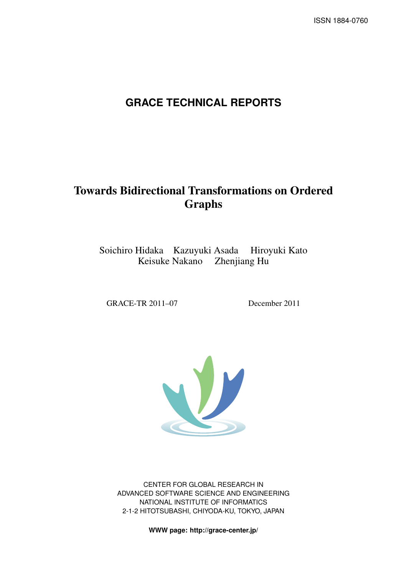# **GRACE TECHNICAL REPORTS**

# Towards Bidirectional Transformations on Ordered Graphs

Soichiro Hidaka Kazuyuki Asada Hiroyuki Kato Keisuke Nakano Zhenjiang Hu

GRACE-TR 2011–07 December 2011



CENTER FOR GLOBAL RESEARCH IN ADVANCED SOFTWARE SCIENCE AND ENGINEERING NATIONAL INSTITUTE OF INFORMATICS 2-1-2 HITOTSUBASHI, CHIYODA-KU, TOKYO, JAPAN

**WWW page: http://grace-center.jp/**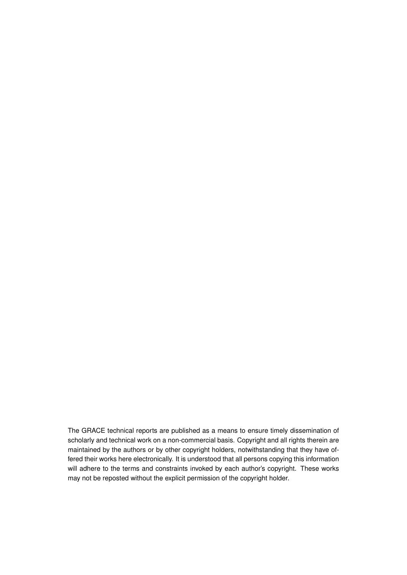The GRACE technical reports are published as a means to ensure timely dissemination of scholarly and technical work on a non-commercial basis. Copyright and all rights therein are maintained by the authors or by other copyright holders, notwithstanding that they have offered their works here electronically. It is understood that all persons copying this information will adhere to the terms and constraints invoked by each author's copyright. These works may not be reposted without the explicit permission of the copyright holder.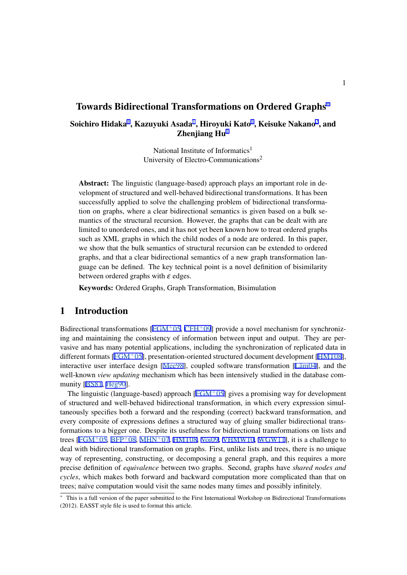# Towards Bidirectional Transformations on Ordered Graphs*<sup>∗</sup>*

Soichiro Hidaka $^1$ , Kazuyuki Asada $^1$ , Hiroyuki Kato $^1$ , Keisuke Nakano $^2$ , and Zhenjiang  $Hu<sup>1</sup>$ 

> National Institute of Informatics<sup>1</sup> University of Electro-Communications<sup>2</sup>

Abstract: The linguistic (language-based) approach plays an important role in development of structured and well-behaved bidirectional transformations. It has been successfully applied to solve the challenging problem of bidirectional transformation on graphs, where a clear bidirectional semantics is given based on a bulk semantics of the structural recursion. However, the graphs that can be dealt with are limited to unordered ones, and it has not yet been known how to treat ordered graphs such as XML graphs in which the child nodes of a node are ordered. In this paper, we show that the bulk semantics of structural recursion can be extended to ordered graphs, and that a clear bidirectional semantics of a new graph transformation language can be defined. The key technical point is a novel definition of bisimilarity between ordered graphs with  $\varepsilon$  edges.

Keywords: Ordered Graphs, Graph Transformation, Bisimulation

# 1 Introduction

Bidirectional transformations [FGM+05, CFH+09] provide a novel mechanism for synchronizing and maintaining the consistency of information between input and output. They are pervasive and has many potential applications, including the synchronization of replicated data in different formats [FGM+05], presentation-oriented structured document development [HMT08], interactive user interface desi[gn \[Mee98\], coupled](#page-23-0) software transformation [L $\text{aim04}$ ], and the well-known *view updating* mechanism which has been intensively studied in the database community [BS81, Heg90].

The linguistic ([language-](#page-23-0)based) approach  $[FGM<sup>+</sup>05]$  gives a promising way for de[velopmen](#page-23-0)t of structured and well-behaved bi[directio](#page-23-0)nal transformation, in which every [expressi](#page-23-0)on simultaneously specifies both a forward and the responding (correct) backward transformation, and every c[ompos](#page-23-0)i[te of ex](#page-23-0)pressions defines a structured way of gluing smaller bidirectional transformations to a bigger one. Despite its usefu[lness for b](#page-23-0)idirectional transformations on lists and trees [FGM<sup>+</sup>05, BFP<sup>+</sup>08, MHN<sup>+</sup>07, HMT08, Voi09, VHMW10, WGW11], it is a challenge to deal with bidirectional transformation on graphs. First, unlike lists and trees, there is no unique way of representing, constructing, or decomposing a general graph, and this requires a more precise definition of *equivalence* between two graphs. Second, graphs have *shared nodes and cycles*[, which makes both forward and backward computation more comp](#page-23-0)licated than that on trees; naïve computation would visit the same nodes many times and possibly infinitely.

*<sup>∗</sup>* This is a full version of the paper submitted to the First International Workshop on Bidirectional Transformations (2012). EASST style file is used to format this article.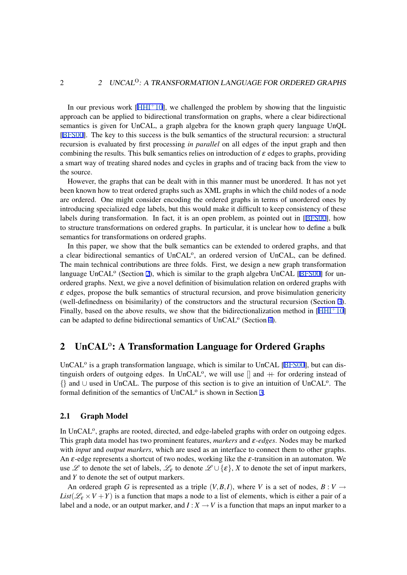<span id="page-3-0"></span>In our previous work  $[HHI^+10]$ , we challenged the problem by showing that the linguistic approach can be applied to bidirectional transformation on graphs, where a clear bidirectional semantics is given for UnCAL, a graph algebra for the known graph query language UnQL [BFS00]. The key to this success is the bulk semantics of the structural recursion: a structural recursion is evaluated by [first pro](#page-23-0)cessing *in parallel* on all edges of the input graph and then combining the results. This bulk semantics relies on introduction of  $\varepsilon$  edges to graphs, providing a smart way of treating shared nodes and cycles in graphs and of tracing back from the view to t[he sour](#page-23-0)ce.

However, the graphs that can be dealt with in this manner must be unordered. It has not yet been known how to treat ordered graphs such as XML graphs in which the child nodes of a node are ordered. One might consider encoding the ordered graphs in terms of unordered ones by introducing specialized edge labels, but this would make it difficult to keep consistency of these labels during transformation. In fact, it is an open problem, as pointed out in [BFS00], how to structure transformations on ordered graphs. In particular, it is unclear how to define a bulk semantics for transformations on ordered graphs.

In this paper, we show that the bulk semantics can be extended to ordered graphs, and that a clear bidirectional semantics of UnCAL<sup>o</sup>, an ordered version of UnCAL, ca[n be de](#page-23-0)fined. The main technical contributions are three folds. First, we design a new graph transformation language UnCAL<sup>o</sup> (Section 2), which is similar to the graph algebra UnCAL [BFS00] for unordered graphs. Next, we give a novel definition of bisimulation relation on ordered graphs with  $\varepsilon$  edges, propose the bulk semantics of structural recursion, and prove bisimulation genericity (well-definedness on bisimilarity) of the constructors and the structural recursion (Section 3). Finally, based on the above results, we show that the bidirectionalization method in  $[HHI^+10]$ can be adapted to define bidirectional semantics of UnCAL<sup>o</sup> (Section 4).

# 2 UnCAL<sup>o</sup>: A Transformation Language for Or[d](#page-13-0)ered Grap[hs](#page-23-0)

UnCAL<sup>o</sup> is a graph transformation language, which is similar to UnCAL [BFS00], but can distinguish orders of outgoing edges. In UnCAL<sup>o</sup>, we will use  $[]$  and  $+$  for ordering instead of *{}* and *∪* used in UnCAL. The purpose of this section is to give an intuition of UnCAL<sup>o</sup> . The formal definition of the semantics of UnCAL<sup>o</sup> is shown in Section 3.

## 2.1 Graph Model

In UnCAL<sup>o</sup>, graphs are rooted, directed, and edge-labeled graphs [wi](#page-6-0)th order on outgoing edges. This graph data model has two prominent features, *markers* and <sup>ε</sup>*-edges*. Nodes may be marked with *input* and *output markers*, which are used as an interface to connect them to other graphs. An  $\varepsilon$ -edge represents a shortcut of two nodes, working like the  $\varepsilon$ -transition in an automaton. We use  $\mathscr L$  to denote the set of labels,  $\mathscr L_{\varepsilon}$  to denote  $\mathscr L \cup \{\varepsilon\}$ , *X* to denote the set of input markers, and *Y* to denote the set of output markers.

An ordered graph *G* is represented as a triple  $(V, B, I)$ , where *V* is a set of nodes,  $B: V \rightarrow$  $List(\mathcal{L}_{\varepsilon} \times V + Y)$  is a function that maps a node to a list of elements, which is either a pair of a label and a node, or an output marker, and  $I: X \to V$  is a function that maps an input marker to a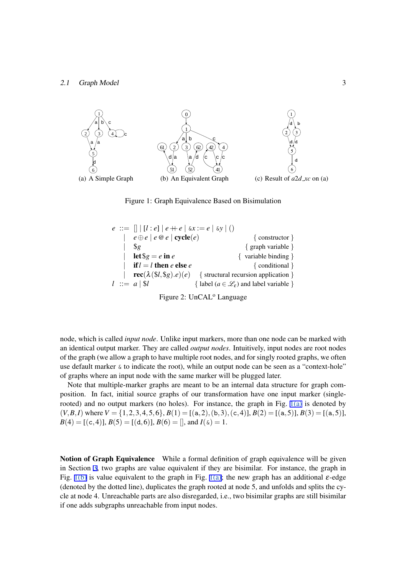<span id="page-4-0"></span>

Figure 1: Graph Equivalence Based on Bisimulation



Figure 2: UnCAL<sup>o</sup> Language

node, which is called *input node*. Unlike input markers, more than one node can be marked with an identical output marker. They are called *output nodes*. Intuitively, input nodes are root nodes of the graph (we allow a graph to have multiple root nodes, and for singly rooted graphs, we often use default marker  $\⊂> 6$  to indicate the root), while an output node can be seen as a "context-hole" of graphs where an input node with the same marker will be plugged later.

Note that multiple-marker graphs are meant to be an internal data structure for graph composition. In fact, initial source graphs of our transformation have one input marker (singlerooted) and no output markers (no holes). For instance, the graph in Fig. 1(a) is denoted by  $(V, B, I)$  where  $V = \{1, 2, 3, 4, 5, 6\}, B(1) = [(a, 2), (b, 3), (c, 4)], B(2) = [(a, 5)], B(3) = [(a, 5)],$  $B(4) = [ (c, 4) ]$ ,  $B(5) = [ (d, 6) ]$ ,  $B(6) = [ ]$ , and  $I(\alpha) = 1$ .

Notion of Graph Equivalence While a formal definition of graph equivalence will be given in Section 3, two graphs are value equivalent if they are bisimilar. For instance, the graph in Fig. 1(b) is value equivalent to the graph in Fig. 1(a); the new graph has an additional  $\varepsilon$ -edge (denoted by the dotted line), duplicates the graph rooted at node 5, and unfolds and splits the cycle at node 4. Unreachable parts are also disregarded, i.e., two bisimilar graphs are still bisimilar if one adds [s](#page-6-0)ubgraphs unreachable from input nodes.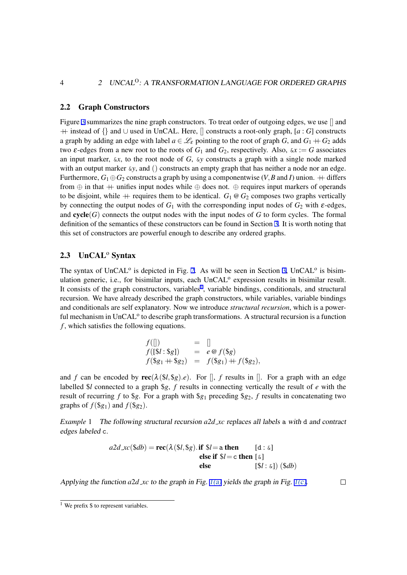#### 2.2 Graph Constructors

Figure 3 summarizes the nine graph constructors. To treat order of outgoing edges, we use  $\parallel$  and ++ instead of *{}* and *∪* used in UnCAL. Here, [] constructs a root-only graph, [*a* : *G*] constructs a graph by adding an edge with label  $a \in \mathcal{L}_{\epsilon}$  pointing to the root of graph *G*, and  $G_1 + G_2$  adds two  $\varepsilon$ -edges from a new root to the roots of  $G_1$  and  $G_2$ , respectively. Also,  $\varepsilon x := G$  associates an inp[ut](#page-6-0) marker,  $\&x$ , to the root node of  $G$ ,  $\&y$  constructs a graph with a single node marked with an output marker  $\&y$ , and () constructs an empty graph that has neither a node nor an edge. Furthermore,  $G_1 \oplus G_2$  constructs a graph by using a componentwise (*V*, *B* and *I*) union.  $+$  differs from *⊕* in that ++ unifies input nodes while *⊕* does not. *⊕* requires input markers of operands to be disjoint, while  $+$  requires them to be identical.  $G_1 \otimes G_2$  composes two graphs vertically by connecting the output nodes of  $G_1$  with the corresponding input nodes of  $G_2$  with  $\varepsilon$ -edges, and  $cycle(G)$  connects the output nodes with the input nodes of  $G$  to form cycles. The formal definition of the semantics of these constructors can be found in Section 3. It is worth noting that this set of constructors are powerful enough to describe any ordered graphs.

# 2.3 UnCAL<sup>o</sup> Syntax

The syntax of UnCAL<sup>o</sup> is depicted in Fig. 2. As will be seen in Section 3, UnCAL<sup>o</sup> is bisimulation generic, i.e., for bisimilar inputs, each UnCAL<sup>o</sup> expression results in bisimilar result. It consists of the graph constructors, variables<sup>1</sup>, variable bindings, conditionals, and structural recursion. We have already described the graph constructors, while variables, variable bindings and conditionals are self explanatory. Now [w](#page-4-0)e introduce *structural recursi[on](#page-6-0)*, which is a powerful mechanism in UnCAL<sup>o</sup> to describe graph transformations. A structural recursion is a function *f* , which satisfies the following equations.

$$
f(\parallel) = \parallel f([\$I: \$g]) = e @ f(\$g) f(\$g_1 + \$g_2) = f(\$g_1) + f(\$g_2),
$$

and *f* can be encoded by  $\text{rec}(\lambda(\$\iota\},\$\{g})\cdot e)$ . For  $\parallel$ , *f* results in  $\parallel$ . For a graph with an edge labelled \$*l* connected to a graph \$*g*, *f* results in connecting vertically the result of *e* with the result of recurring f to \$g. For a graph with  $\S$ g<sub>1</sub> preceding  $\S$ g<sub>2</sub>, f results in concatenating two graphs of  $f$ (\$ $g_1$ ) and  $f$ (\$ $g_2$ ).

*Example* 1 The following structural recursion *a2d xc* replaces all labels a with d and contract edges labeled c.

$$
a2d_{\mathcal{L}}c(\$db) = \text{rec}(\lambda(\$l, \$g).\text{if } \$l = \text{a then} \qquad [\text{d} : \text{\&}]
$$
  
else if  $\$l = \text{c then} [\text{\&}]$   
else [ $\$l : \text{\&}]$ ]  
 $(\$db)$ 

Applying the function  $a2d$  *xc* to the graph in Fig. 1(a) yields the graph in Fig. 1(c).

 $\Box$ 

<sup>&</sup>lt;sup>1</sup> We prefix  $$$  to represent variables.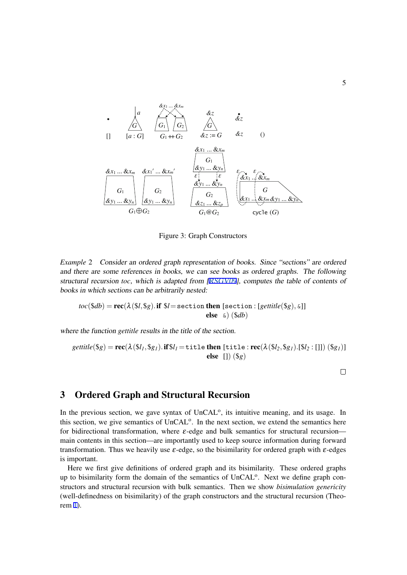<span id="page-6-0"></span>

Figure 3: Graph Constructors

*Example* 2 Consider an ordered graph representation of books. Since "sections" are ordered and there are some references in books, we can see books as ordered graphs. The following structural recursion *toc*, which is adapted from [RSGV09], computes the table of contents of books in which sections can be arbitrarily nested:

 $toc(\$db) = \mathbf{rec}(\lambda(\$l, \$g) \cdot \mathbf{if} \$l = \texttt{section} \text{ then } [\texttt{section}: [gettitle(\$g), \&]]$ [else](#page-23-0) &) (\$*db*)

where the function *gettitle* results in the title of the section.

*gettitle*(
$$
\$g
$$
) = **rec**( $\lambda$ ( $\$l_1, \$g_1$ ). **if** $\$l_1$  = title **then** [title : **rec**( $\lambda$ ( $\$l_2, \$g_1$ ). $\[\$l_2 : []]$ ) ( $\$g_1$ )]  
**else** []) ( $\$g$ )

 $\Box$ 

# 3 Ordered Graph and Structural Recursion

In the previous section, we gave syntax of UnCAL<sup>o</sup>, its intuitive meaning, and its usage. In this section, we give semantics of UnCAL<sup>o</sup>. In the next section, we extend the semantics here for bidirectional transformation, where  $\varepsilon$ -edge and bulk semantics for structural recursion main contents in this section—are importantly used to keep source information during forward transformation. Thus we heavily use  $\varepsilon$ -edge, so the bisimilarity for ordered graph with  $\varepsilon$ -edges is important.

Here we first give definitions of ordered graph and its bisimilarity. These ordered graphs up to bisimilarity form the domain of the semantics of UnCAL<sup>o</sup>. Next we define graph constructors and structural recursion with bulk semantics. Then we show *bisimulation genericity* (well-definedness on bisimilarity) of the graph constructors and the structural recursion (Theorem 1).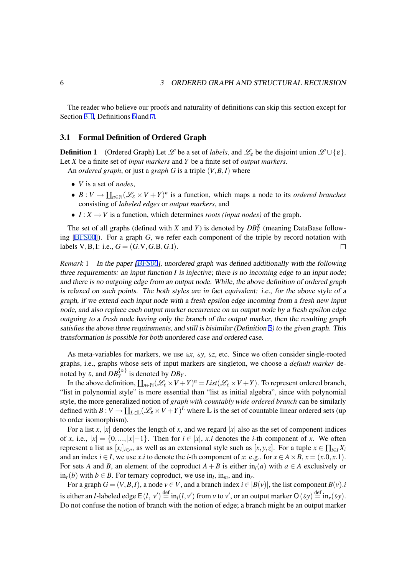<span id="page-7-0"></span>The reader who believe our proofs and naturality of definitions can skip this section except for Section 3.1, Definitions 6 and 7.

#### 3.1 Formal Definition of Ordered Graph

**Definition 1** (Ordered [G](#page-10-0)rap[h\)](#page-11-0) Let  $\mathcal{L}$  be a set of *labels*, and  $\mathcal{L}_{\varepsilon}$  be the disjoint union  $\mathcal{L} \cup \{\varepsilon\}$ . Let *X* be a finite set of *input markers* and *Y* be a finite set of *output markers*.

An *ordered graph*, or just a *graph G* is a triple (*V,B,I*) where

- *• V* is a set of *nodes*,
- $B: V \to \coprod_{n \in \mathbb{N}} (\mathcal{L}_{\varepsilon} \times V + Y)^n$  is a function, which maps a node to its *ordered branches* consisting of *labeled edges* or *output markers*, and
- *• I* : *X → V* is a function, which determines *roots (input nodes)* of the graph.

The set of all graphs (defined with *X* and *Y*) is denoted by  $DB_Y^X$  (meaning DataBase following [BFS00]). For a graph *G*, we refer each component of the triple by record notation with labels  $V, B, I:$  i.e.,  $G = (G.V, G.B, G.I)$ .  $\Box$ 

*Remark* 1 In the paper [BFS00], unordered graph was defined additionally with the following three [require](#page-23-0)ments: an input function *I* is injective; there is no incoming edge to an input node; and there is no outgoing edge from an output node. While, the above definition of ordered graph is relaxed on such points. The both styles are in fact equivalent: i.e., for the above style of <sup>a</sup> graph, if we extend each [input](#page-23-0) node with <sup>a</sup> fresh epsilon edge incoming from <sup>a</sup> fresh new input node, and also replace each output marker occurrence on an output node by <sup>a</sup> fresh epsilon edge outgoing to <sup>a</sup> fresh node having only the branch of the output marker, then the resulting graph satisfies the above three requirements, and still is bisimilar (Definition 5) to the given graph. This transformation is possible for both unordered case and ordered case.

As meta-variables for markers, we use &*x*, &*y*, &*z*, etc. Since we often consider single-rooted graphs, i.e., graphs whose sets of input markers are singleton, we c[hoo](#page-10-0)se a *default marker* denoted by  $\&\&$ , and  $DB_Y^{\{\&\}}$  is denoted by  $DB_Y$ .

In the above definition,  $\prod_{n\in\mathbb{N}}(\mathcal{L}_{\varepsilon}\times V+Y)^n=List(\mathcal{L}_{\varepsilon}\times V+Y)$ . To represent ordered branch, "list in polynomial style" is more essential than "list as initial algebra", since with polynomial style, the more generalized notion of *graph with countably wide ordered branch* can be similarly defined with  $B: V \to \coprod_{L \in \mathbb{L}} (\mathscr{L}_{\varepsilon} \times V + Y)^L$  where  $\mathbb{L}$  is the set of countable linear ordered sets (up to order isomorphism).

For a list *x*,  $|x|$  denotes the length of *x*, and we regard  $|x|$  also as the set of component-indices of x, i.e.,  $|x| = \{0, ..., |x|-1\}$ . Then for  $i \in |x|$ , x i denotes the *i*-th component of x. We often represent a list as  $[x_i]_{i \in n}$ , as well as an extensional style such as  $[x, y, z]$ . For a tuple  $x \in \prod_{i \in I} X_i$ and an index  $i \in I$ , we use x i to denote the *i*-th component of x: e.g., for  $x \in A \times B$ ,  $x = (x.0, x.1)$ . For sets *A* and *B*, an element of the coproduct  $A + B$  is either in<sub>l</sub>(*a*) with  $a \in A$  exclusively or in<sub>*r*</sub>(*b*) with *b* ∈ *B*. For ternary coproduct, we use in<sub>*l*</sub>, in<sub>*m*</sub>, and in<sub>*r*</sub>.

For a graph  $G = (V, B, I)$ , a node  $v \in V$ , and a branch index  $i \in |B(v)|$ , the list component  $B(v)$ .*i* is either an *l*-labeled edge  $E(l, v') \stackrel{\text{def}}{=} \text{in}_l(l, v')$  from v to v', or an output marker  $O(\omega y) \stackrel{\text{def}}{=} \text{in}_r(\omega y)$ . Do not confuse the notion of branch with the notion of edge; a branch might be an output marker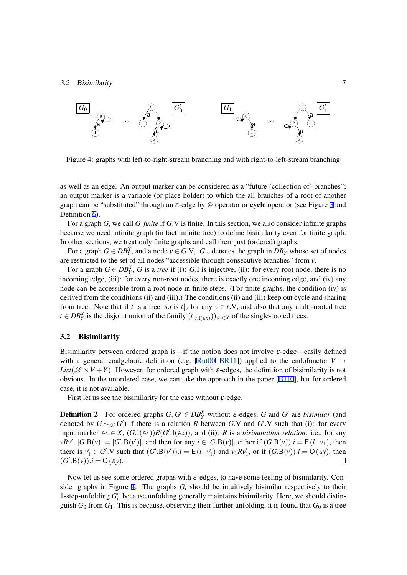

Figure 4: graphs with left-to-right-stream branching and with right-to-left-stream branching

as well as an edge. An output marker can be considered as a "future (collection of) branches"; an output marker is a variable (or place holder) to which the all branches of a root of another graph can be "substituted" through an  $\varepsilon$ -edge by @ operator or **cycle** operator (see Figure 3 and Definition 6).

For a graph *G*, we call *G finite* if *G.*V is finite. In this section, we also consider infinite graphs because we need infinite graph (in fact infinite tree) to define bisimilarity even for finite [gra](#page-6-0)ph. In other sections, we treat only finite graphs and call them just (ordered) graphs.

For a gr[ap](#page-10-0)h  $G \in DB_Y^X$ , and a node  $v \in G.V$ ,  $G|_v$  denotes the graph in  $DB_Y$  whose set of nodes are restricted to the set of all nodes "accessible through consecutive branches" from *v*.

For a graph  $G \in DB_Y^X$ , *G* is a *tree* if (i): *G*.I is injective, (ii): for every root node, there is no incoming edge, (iii): for every non-root nodes, there is exactly one incoming edge, and (iv) any node can be accessible from a root node in finite steps. (For finite graphs, the condition (iv) is derived from the conditions (ii) and (iii).) The conditions (ii) and (iii) keep out cycle and sharing from tree. Note that if *t* is a tree, so is  $t|_v$  for any  $v \in t$ . V, and also that any multi-rooted tree *t* ∈ *DB*<sup>*X*</sup><sub>*Y*</sub> is the disjoint union of the family  $(t|_{t \cdot I(\delta x)}))_{\delta x \in X}$  of the single-rooted trees.

#### 3.2 Bisimilarity

Bisimilarity between ordered graph is—if the notion does not involve  $\varepsilon$ -edge—easily defined with a general coalgebraic definition (e.g. [Rut00, SR11]) applied to the endofunctor  $V \mapsto$ *List*( $\mathscr{L} \times V + Y$ ). However, for ordered graph with  $\varepsilon$ -edges, the definition of bisimilarity is not obvious. In the unordered case, we can take the approach in the paper [BJ10], but for ordered case, it is not available.

First let us see the bisimilarity for the case [withou](#page-23-0)t  $\varepsilon$ [-edg](#page-23-0)e.

**Definition 2** For ordered graphs  $G, G' \in DB_Y^X$  $G, G' \in DB_Y^X$  without  $\varepsilon$ -edges,  $G$  and  $G'$  are *bisimilar* (and denoted by  $G \sim_{\mathscr{L}} G'$  if there is a relation *R* between *G*.V and  $G'$ .V such that (i): for every input marker  $\&x \in X$ ,  $(G.I(\&x))R(G'.I(\&x))$ , and (ii): *R* is a *bisimulation relation*: i.e., for any  $vRv', |G.B(v)| = |G'.B(v')|$ , and then for any  $i \in |G.B(v)|$ , either if  $(G.B(v)) . i = E(l, v_1)$ , then there is  $v'_1 \in G'.V$  such that  $(G'.B(v'))$ . $i = E(l, v'_1)$  and  $v_1 R v'_1$ , or if  $(G.B(v))$ . $i = O(\xi y)$ , then  $(G'.B(v)).i = O(\omega).$  $\Box$ 

Now let us see some ordered graphs with  $\varepsilon$ -edges, to have some feeling of bisimilarity. Consider graphs in Figure 4. The graphs  $G_i$  should be intuitively bisimilar respectively to their 1-step-unfolding  $G'_{i}$ , because unfolding generally maintains bisimilarity. Here, we should distinguish  $G_0$  from  $G_1$ . This is because, observing their further unfolding, it is found that  $G_0$  is a tree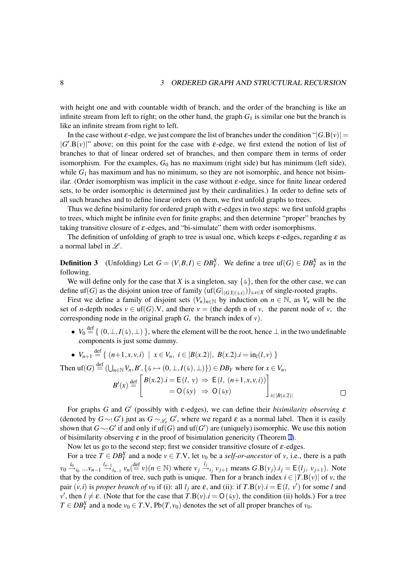with height one and with countable width of branch, and the order of the branching is like an infinite stream from left to right; on the other hand, the graph  $G_1$  is similar one but the branch is like an infinite stream from right to left.

In the case without  $\varepsilon$ -edge, we just compare the list of branches under the condition " $|G.B(v)|$  =  $|G'.B(v)|$ " above; on this point for the case with  $\varepsilon$ -edge, we first extend the notion of list of branches to that of linear ordered set of branches, and then compare them in terms of order isomorphism. For the examples,  $G_0$  has no maximum (right side) but has minimum (left side), while  $G_1$  has maximum and has no minimum, so they are not isomorphic, and hence not bisimilar. (Order isomorphism was implicit in the case without  $\varepsilon$ -edge, since for finite linear ordered sets, to be order isomorphic is determined just by their cardinalities.) In order to define sets of all such branches and to define linear orders on them, we first unfold graphs to trees.

Thus we define bisimilarity for ordered graph with  $\varepsilon$ -edges in two steps: we first unfold graphs to trees, which might be infinite even for finite graphs; and then determine "proper" branches by taking transitive closure of  $\varepsilon$ -edges, and "bi-simulate" them with order isomorphisms.

The definition of unfolding of graph to tree is usual one, which keeps  $\varepsilon$ -edges, regarding  $\varepsilon$  as a normal label in *L* .

**Definition 3** (Unfolding) Let  $G = (V, B, I) \in DB_Y^X$ . We define a tree uf( $G$ )  $\in DB_Y^X$  as in the following.

We will define only for the case that *X* is a singleton, say  $\{\&\}$ , then for the other case, we can define uf(*G*) as the disjoint union tree of family  $(\text{uf}(G|_{(G,I)(\&x)}))_{\&x\in X}$  of single-rooted graphs.

First we define a family of disjoint sets  $(V_n)_{n\in\mathbb{N}}$  by induction on  $n \in \mathbb{N}$ , as  $V_n$  will be the set of *n*-depth nodes  $v \in \text{uf}(G)$ . V, and there  $v =$  (the depth n of *v*, the parent node of *v*, the corresponding node in the original graph  $G$ , the branch index of  $v$ ).

•  $V_0 \stackrel{\text{def}}{=} \{ (0, \perp, I(\&), \perp) \}$ , where the element will be the root, hence  $\perp$  in the two undefinable components is just some dummy.

 $\Box$ 

• 
$$
V_{n+1} \stackrel{\text{def}}{=} \{ (n+1, x, v, i) \mid x \in V_n, i \in |B(x.2)|, B(x.2).i = \text{in}_l(l, v) \}
$$

Then  $\mathrm{uf}(G) \stackrel{\text{def}}{=} (\bigcup_{n \in \mathbb{N}} V_n, B', \{ \in \ \to (0, \perp, I(\infty), \perp) \}) \in DB_Y$  where for  $x \in V_n$ ,  $B'(x) \stackrel{\text{def}}{=}$  $B(x, 2) \cdot i = E(l, v) \Rightarrow E(l, (n+1, x, v, i))$  $= O(\omega y) \Rightarrow O(\omega y)$ ] *i∈|B*(*x.*2)*|*

For graphs *G* and *G*<sup> $\prime$ </sup> (possibly with  $\varepsilon$ -edges), we can define their *bisimilarity observing*  $\varepsilon$ (denoted by  $G \sim_{!} G'$ ) just as  $G \sim_{\mathscr{L}_{\varepsilon}} G'$ , where we regard  $\varepsilon$  as a normal label. Then it is easily shown that  $G \sim_! G'$  if and only if uf(*G*) and uf(*G'*) are (uniquely) isomorphic. We use this notion of bisimilarity observing  $\varepsilon$  in the proof of bisimulation genericity (Theorem 1).

Now let us go to the second step; first we consider transitive closure of  $\varepsilon$ -edges.

For a tree  $T \in DB_Y^X$  and a node  $v \in T.V$ , let  $v_0$  be a *self-or-ancestor* of *v*, i.e., there is a path  $v_0 \stackrel{l_0}{\rightarrow}$  $_{i_0} \dots v_{n-1} \stackrel{l_{n-1}}{\rightarrow} {}_{i_{n-1}} v_n \stackrel{\text{def}}{=} v)(n \in \mathbb{N})$  $_{i_0} \dots v_{n-1} \stackrel{l_{n-1}}{\rightarrow} {}_{i_{n-1}} v_n \stackrel{\text{def}}{=} v)(n \in \mathbb{N})$  $_{i_0} \dots v_{n-1} \stackrel{l_{n-1}}{\rightarrow} {}_{i_{n-1}} v_n \stackrel{\text{def}}{=} v)(n \in \mathbb{N})$  where  $v_j \stackrel{l_j}{\rightarrow} {}_{i_j} v_{j+1}$  means  $G.B(v_j).i_j = E(l_j, v_{j+1})$ . Note that by the condition of tree, such path is unique. Then for a branch index  $i \in [T.B(v)]$  of *v*, the pair  $(v, i)$  is *proper branch of*  $v_0$  if (i): all  $l_j$  are  $\varepsilon$ , and (ii): if  $T.B(v).i = E(l, v')$  for some *l* and  $v'$ , then  $l \neq \varepsilon$ . (Note that for the case that  $T.B(v) . i = O(\varepsilon y)$ , the condition (ii) holds.) For a tree *T* ∈ *DB*<sup>*X*</sup><sub>*Y*</sub> and a node *v*<sub>0</sub> ∈ *T*.V, Pb(*T, v*<sub>0</sub>) denotes the set of all proper branches of *v*<sub>0</sub>.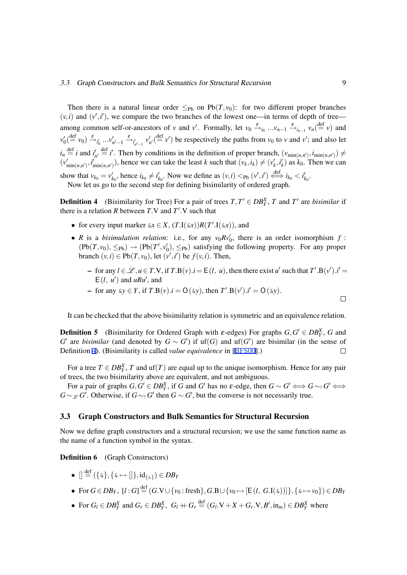<span id="page-10-0"></span>Then there is a natural linear order  $\leq_{Pb}$  on Pb(*T,v*<sub>0</sub>): for two different proper branches  $(v, i)$  and  $(v', i')$ , we compare the two branches of the lowest one—in terms of depth of tree among common self-or-ancestors of *v* and *v'*. Formally, let  $v_0 \xrightarrow{\varepsilon}{}_{i_0} \dots v_{n-1} \xrightarrow{\varepsilon}{}_{i_{n-1}} v_n(\stackrel{\text{def}}{=} v)$  and  $v'_0(\stackrel{\text{def}}{=} v_0) \xrightarrow{\varepsilon} v'_0 \dots v'_{n'-1} \xrightarrow{\varepsilon} v'_{n'-1} v'_{n'}(\stackrel{\text{def}}{=} v')$  be respectively the paths from  $v_0$  to v and  $v'$ ; and also let  $i_n \stackrel{\text{def}}{=} i$  and  $i'_{n'} \stackrel{\text{def}}{=} i'$ . Then by conditions in the definition of proper branch,  $(v_{\min(n,n')}, i_{\min(n,n')}) \neq i$  $(v'_{\min(n,n')}, i'_{\min(n,n')})$ , hence we can take the least k such that  $(v_k, i_k) \neq (v'_k, i'_k)$  as  $k_0$ . Then we can show that  $v_{k_0} = v'_{k_0}$ , hence  $i_{k_0} \neq i'_{k_0}$ . Now we define as  $(v, i) <_{Pb} (v', i') \stackrel{\text{def}}{\iff} i_{k_0} < i'_{k_0}$ . Now let us go to the second step for defining bisimilarity of ordered graph.

**Definition 4** (Bisimilarity for Tree) For a pair of trees  $T, T' \in DB_Y^X$ , *T* and *T'* are *bisimilar* if there is a relation *R* between *T*.V and  $T'$ .V such that

- for every input marker  $\&x \in X$ ,  $(T.I(\&x))R(T'.I(\&x))$ , and
- *R* is a *bisimulation relation*: i.e., for any  $v_0 R v_0'$ , there is an order isomorphism *f* :  $(Pb(T, v_0), \leq_{Pb}) \rightarrow (Pb(T', v'_0), \leq_{Pb})$  satisfying the following property. For any proper branch  $(v, i) \in Pb(T, v_0)$ , let  $(v', i')$  be  $f(v, i)$ . Then,
	- for any  $l \in \mathcal{L}, u \in T.V$ , if  $T.B(v) . i = E(l, u)$ , then there exist u' such that  $T'.B(v'). i' =$  $E(l, u')$  and  $uRu'$ , and

- for any 
$$
\&v \in Y
$$
, if  $T.B(v).i = O(\&v)$ , then  $T'.B(v').i' = O(\&v)$ .

It can be checked that the above bisimilarity relation is symmetric and an equivalence relation.

**Definition 5** (Bisimilarity for Ordered Graph with  $\varepsilon$ -edges) For graphs  $G, G' \in DB_Y^X$ , *G* and *G*<sup> $\prime$ </sup> are *bisimilar* (and denoted by  $G \sim G'$ ) if uf(*G*) and uf(*G*<sup> $\prime$ </sup>) are bisimilar (in the sense of Definition 4). (Bisimilarity is called *value equivalence* in [BFS00].)  $\Box$ 

For a tree  $T \in DB_Y^X$ , *T* and uf(*T*) are equal up to the unique isomorphism. Hence for any pair of trees, the two bisimilarity above are equivalent, and not ambiguous.

For a pair of graphs  $G, G' \in DB_Y^X$ , if G and G' has no  $\varepsilon$ [-edge, t](#page-23-0)hen  $G \sim G' \Longleftrightarrow G \sim_1 G' \Longleftrightarrow$ *G* ∼  $\mathscr{L}$  *G*<sup> $\prime$ </sup>. Otherwise, if *G* ∼ *i G*<sup> $\prime$ </sup> then *G* ∼ *G*<sup> $\prime$ </sup>, but the converse is not necessarily true.

## 3.3 Graph Constructors and Bulk Semantics for Structural Recursion

Now we define graph constructors and a structural recursion; we use the same function name as the name of a function symbol in the syntax.

**Definition 6** (Graph Constructors)

- $\bullet$   $[] \stackrel{\text{def}}{=} (\{\&\}, \{\& \mapsto []\}, \text{id}_{\{\&\}}) \in DB_Y$
- For  $G \in DB_Y$ ,  $[l:G] \stackrel{\text{def}}{=} (G.\mathbf{V} \cup \{v_0: \text{fresh}\}, G.\mathbf{B} \cup \{v_0 \mapsto [E(l, G.\mathbf{I}(\&))]\}, \{\& \mapsto v_0\}) \in DB_Y$
- For  $G_l \in DB_Y^X$  and  $G_r \in DB_Y^X$ ,  $G_l + G_r \stackrel{\text{def}}{=} (G_l \cdot V + X + G_r \cdot V, B', \text{in}_m) \in DB_Y^X$  where

 $\Box$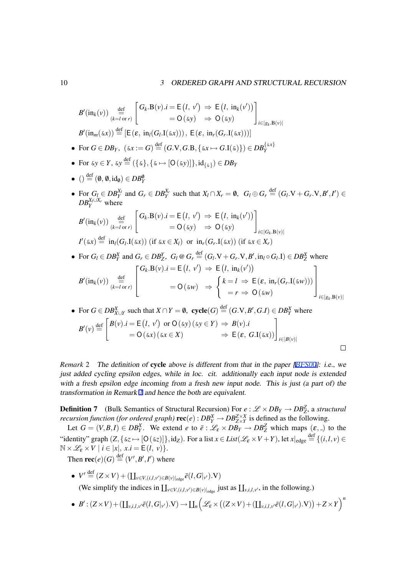<span id="page-11-0"></span>
$$
B'(\text{in}_{k}(v)) \underset{(k=I \text{ or } r)}{\overset{\text{def}}{=}} \left[ G_{k} \cdot B(v).i = E(l, v') \Rightarrow E(l, \text{ in}_{k}(v')) \right]
$$
\n
$$
B'(\text{in}_{m}(\&x)) \overset{\text{def}}{=} [E(\varepsilon, \text{ in}_{l}(G_{l} \cdot I(\&x)))), E(\varepsilon, \text{ in}_{r}(G_{r} \cdot I(\&x)))]
$$
\n• For  $G \in DB_{Y}$ ,  $(\&x := G) \overset{\text{def}}{=} (G \cdot V, G \cdot B, \{ \&x \mapsto G \cdot I(\&x) \}) \in DB_{Y}^{\{ \&x \}}$ \n• For  $\&y \in Y$ ,  $\&y \overset{\text{def}}{=} (\{\&\}, \{\&\mapsto [O(\&y)]\}, \text{id}_{\{ \&\}}) \in DB_{Y}$ \n•  $\bigcirc \overset{\text{def}}{=} (0, 0, \text{id}_{0}) \in DB_{Y}^{0}$ \n• For  $G_{l} \in DB_{Y}^{X_{l}}$  and  $G_{r} \in DB_{Y}^{X_{r}}$  such that  $X_{l} \cap X_{r} = 0$ ,  $G_{l} \oplus G_{r} \overset{\text{def}}{=} (G_{l} \cdot V + G_{r} \cdot V, B', I') \in DB_{Y}^{X_{l} \cup X_{r}}$  where\n
$$
B'(\text{in}_{k}(v)) \underset{(k=l \text{ or } r)}{\overset{\text{def}}{=} (G_{k} \cdot B(v).i = E(l, v') \Rightarrow E(l, \text{ in}_{k}(v')) \atop = O(\&y) \Rightarrow O(\&y)
$$

$$
I'(\&x) \stackrel{\text{def}}{=} \text{in}_l(G_l.\mathbf{I}(\&x)) \text{ (if } \&x \in X_l \text{) or } \text{in}_r(G_r.\mathbf{I}(\&x)) \text{ (if } \&x \in X_r \text{)}
$$

• For 
$$
G_l \in DB_Y^X
$$
 and  $G_r \in DB_Z^Y$ ,  $G_l \otimes G_r \stackrel{\text{def}}{=} (G_l.V + G_r.V, B', in_l \circ G_l.I) \in DB_Z^X$  where  
\n
$$
B'(\text{in}_k(v)) \underset{(k=I \text{ or } r)}{\overset{\text{def}}{=} \left[\begin{matrix} G_k.B(v).i = E(l, v') \Rightarrow E(l, in_k(v')) \\ & = O(\&w\end{matrix}\right]} = O(\&w) \Rightarrow \begin{cases} k = l \Rightarrow E(\varepsilon, in_r(G_r.I(\&w))) \\ & = r \Rightarrow O(\&w\end{cases}
$$

• For 
$$
G \in DB_{X \cup Y}^X
$$
 such that  $X \cap Y = \emptyset$ ,  $\text{cycle}(G) \stackrel{\text{def}}{=} (G \cdot V, B', G \cdot I) \in DB_Y^X$  where  
\n
$$
B'(v) \stackrel{\text{def}}{=} \begin{bmatrix} B(v) \cdot i = E(l, v') \text{ or } O(\xi y) (\xi y \in Y) \Rightarrow B(v) \cdot i \\ = O(\xi x) (\xi x \in X) \end{bmatrix} \Rightarrow E(\varepsilon, G \cdot I(\xi x)) \Big]_{i \in |B(v)|}
$$

 $\Box$ 

*Remark* 2 The definition of cycle above is different from that in the paper [BFS00]: i.e., we just added cycling epsilon edges, while in loc. cit. additionally each input node is extended with <sup>a</sup> fresh epsilon edge incoming from <sup>a</sup> fresh new input node. This is just (a part of) the transformation in Remark <sup>1</sup> and hence the both are equivalent.

**Definition 7** (Bulk Semantics of Structural Recursion) For  $e : \mathcal{L} \times DB_Y \rightarrow DB_Z^Z$ , a *structural recursion function (for ordered graph)*  $\text{rec}(e) : DB_Y^X \to DB_{Z \times Y}^{Z \times X}$  is defined as the following.

Let  $G = (V, B, I) \in DB_Y^X$  $G = (V, B, I) \in DB_Y^X$ . We extend e to  $\bar{e}: \mathscr{L}_{\varepsilon} \times DB_Y \to DB_Z^Z$  which maps  $(\varepsilon, \underline{\ })$  to the "identity" graph  $(Z, \{ \& z \mapsto [O(\&z)]\}, id_z)$ . For a list  $x \in List(\mathcal{L}_{\varepsilon} \times V + Y)$ , let  $x|_{edge} \stackrel{\text{def}}{=} \{(i, l, v) \in$  $\mathbb{N} \times \mathcal{L}_{\varepsilon} \times V \mid i \in [x], \ x.i = \mathsf{E}(l, v) \}.$ 

Then  $\text{rec}(e)(G) \stackrel{\text{def}}{=} (V', B', I')$  where

- $V' \stackrel{\text{def}}{=} (Z \times V) + (\coprod_{v \in V, (i,l,v') \in B(v)|_{\text{edge}}} \bar{e}(l, G|_{v'}).$ (We simplify the indices in  $\prod_{v \in V, (i,l,v') \in B(v)|_{\text{edge}}}$  just as  $\prod_{v,i,l,v'}$ , in the following.)
- $\bullet \ \ B': (Z \times V) + (\coprod_{\nu, i, l, \nu'} \bar{e}(l, G|_{\nu'}).{\rm V}) \rightarrow \coprod_n \Bigl( \mathscr{L}_\varepsilon \times \bigl( (Z \times V) + (\coprod_{\nu, i, l, \nu'} \bar{e}(l, G|_{\nu'}).{\rm V}) \bigr) + Z \times Y \Bigr)^n$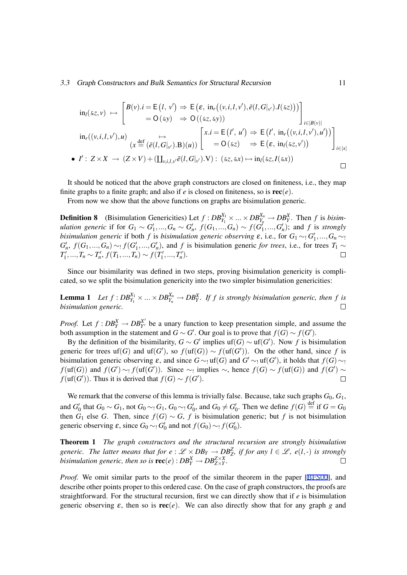#### <span id="page-12-0"></span>3.3 Graph Constructors and Bulk Semantics for Structural Recursion 11

$$
\mathrm{in}_{l}(\delta z, v) \mapsto \begin{bmatrix} B(v).i = E(l, v') \Rightarrow E(\varepsilon, \, \mathrm{in}_{r}((v, i, l, v'), \bar{e}(l, G|_{v'}).I(\delta z)))\\ = O(\delta y) \Rightarrow O((\delta z, \delta y))\end{bmatrix}_{i \in |B(v)|}
$$
\n
$$
\mathrm{in}_{r}((v, i, l, v'), u) \mapsto \begin{bmatrix} x.i = E(l', u') \Rightarrow E(l', \, \mathrm{in}_{r}((v, i, l, v'), u'))\\ (x \stackrel{\text{def}}{=} (\bar{e}(l, G|_{v').B})(u)) \end{bmatrix}_{i \in |x|} = O(\delta z) \Rightarrow E(\varepsilon, \, \mathrm{in}_{l}(\delta z, v'))
$$
\n•  $I': Z \times X \to (Z \times V) + (\coprod_{v, i, l, v'} \bar{e}(l, G|_{v').V}) : (\delta z, \delta x) \mapsto \mathrm{in}_{l}(\delta z, I(\delta x))$ 

It should be noticed that the above graph constructors are closed on finiteness, i.e., they map finite graphs to a finite graph; and also if  $e$  is closed on finiteness, so is  $\text{rec}(e)$ .

From now we show that the above functions on graphs are bisimulation generic.

**Definition 8** (Bisimulation Genericities) Let  $f : DB_{Y_1}^{X_1} \times ... \times DB_{Y_n}^{X_n} \to DB_Y^X$ . Then f is bisimulation generic if for  $G_1 \sim G'_1, ..., G_n \sim G'_n$ ,  $f(G_1,...,G_n) \sim f(G'_1,...,G'_n)$ ; and f is strongly *bisimulation generic* if both *f* is *bisimulation generic observing*  $\varepsilon$ , i.e., for  $G_1 \sim G_1',...,G_n \sim G_1'$  $G'_n$ ,  $f(G_1,...,G_n) \sim f(G'_1,...,G'_n)$ , and f is bisimulation generic for trees, i.e., for trees  $T_1 \sim$  $T'_1, ..., T_n \sim T'_n, f(T_1, ..., T_n) \sim f(T'_1, ..., T'_n).$  $\Box$ 

Since our bisimilarity was defined in two steps, proving bisimulation genericity is complicated, so we split the bisimulation genericity into the two simpler bisimulation genericities:

**Lemma 1** Let  $f: DB_{Y_1}^{X_1} \times ... \times DB_{Y_n}^{X_n} \to DB_Y^X$ . If  $f$  is strongly bisimulation generic, then  $f$  is *bisimulation generic.*  $\Box$ 

*Proof.* Let  $f: DB_Y^X \to DB_{Y'}^{X'}$  $Y<sub>Y</sub><sup>X'</sup>$  be a unary function to keep presentation simple, and assume the both assumption in the statement and  $G \sim G'$ . Our goal is to prove that  $f(G) \sim f(G')$ .

By the definition of the bisimilarity,  $G \sim G'$  implies uf(*G*)  $\sim$  uf(*G'*). Now *f* is bisimulation generic for trees uf(*G*) and uf(*G'*), so  $f(\text{uf}(G)) \sim f(\text{uf}(G'))$ . On the other hand, since *f* is bisimulation generic observing  $\varepsilon$ , and since  $G \sim$ ! uf(*G*) and  $G' \sim$ ! uf(*G'*), it holds that  $f(G) \sim$ !  $f(\text{uf}(G))$  and  $f(G') \sim f(\text{uf}(G'))$ . Since  $\sim_!$  implies  $\sim$ , hence  $f(G) \sim f(\text{uf}(G))$  and  $f(G') \sim f(\text{uf}(G'))$ *f*( $uf(G')$ ). Thus it is derived that  $f(G) \sim f(G')$ .  $\Box$ 

We remark that the converse of this lemma is trivially false. Because, take such graphs  $G_0$ ,  $G_1$ , and  $G'_0$  that  $G_0 \sim G_1$ , not  $G_0 \sim_! G_1$ ,  $G_0 \sim_! G'_0$ , and  $G_0 \neq G'_0$ . Then we define  $f(G) \stackrel{\text{def}}{=}$  if  $G = G_0$ then  $G_1$  else  $G$ . Then, since  $f(G) \sim G$ ,  $f$  is bisimulation generic; but  $f$  is not bisimulation generic observing  $\varepsilon$ , since  $G_0 \sim G'_0$  and not  $f(G_0) \sim f(G'_0)$ .

Theorem 1 *The graph constructors and the structural recursion are strongly bisimulation generic. The latter means that for*  $e : \mathscr{L} \times DB_Y \to DB_Z^Z$ *, if for any*  $l \in \mathscr{L}$ *,*  $e(l, \cdot)$  *is strongly bisimulation generic, then so is*  $\mathbf{rec}(e): DB_{Y}^{X} \rightarrow DB_{Z \times Y}^{Z \times X}$ *.*  $\Box$ 

*Proof.* We omit similar parts to the proof of the similar theorem in the paper [BFS00], and describe other points proper to this ordered case. On the case of graph constructors, the proofs are straightforward. For the structural recursion, first we can directly show that if *e* is bisimulation generic observing  $\varepsilon$ , then so is  $\text{rec}(e)$ . We can also directly show that for any [graph](#page-23-0) g and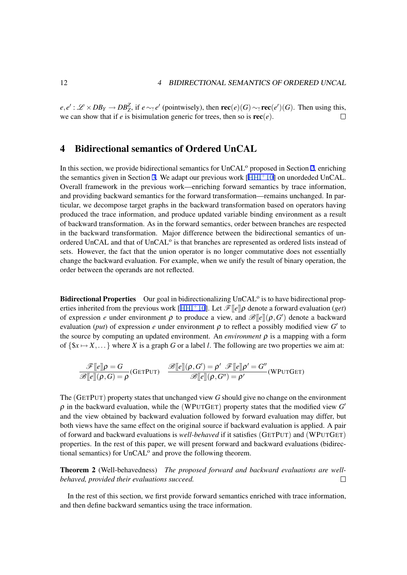<span id="page-13-0"></span> $e,e': \mathscr{L} \times DB_Y \to DB_Z^Z$ , if  $e \sim_! e'$  (pointwisely), then  $\mathbf{rec}(e)(G) \sim_! \mathbf{rec}(e')(G)$ . Then using this, we can show that if  $e$  is bisimulation generic for trees, then so is  $\text{rec}(e)$ .  $\Box$ 

# 4 Bidirectional semantics of Ordered UnCAL

In this section, we provide bidirectional semantics for UnCAL<sup>o</sup> proposed in Section 2, enriching the semantics given in Section 3. We adapt our previous work  $[HHI<sup>+</sup>10]$  on unordeded UnCAL. Overall framework in the previous work—enriching forward semantics by trace information, and providing backward semantics for the forward transformation—remains unchanged. In particular, we decompose target graphs in the backward transformation based on oper[at](#page-3-0)ors having produced the trace informatio[n,](#page-6-0) and produce updated variable [binding](#page-23-0) environment as a result of backward transformation. As in the forward semantics, order between branches are respected in the backward transformation. Major difference between the bidirectional semantics of unordered UnCAL and that of UnCAL<sup>o</sup> is that branches are represented as ordered lists instead of sets. However, the fact that the union operator is no longer commutative does not essentially change the backward evaluation. For example, when we unify the result of binary operation, the order between the operands are not reflected.

Bidirectional Properties Our goal in bidirectionalizing UnCAL<sup>o</sup> is to have bidirectional properties inherited from the previous work [HHI+10]. Let *F*[[*e*]]<sup>ρ</sup> denote a forward evaluation (*get*) of expression *e* under environment  $\rho$  to produce a view, and  $\mathscr{B}[[e]](\rho, G')$  denote a backward evaluation (*put*) of expression *e* under environment  $\rho$  to reflect a possibly modified view G' to the source by computing an updated environment. An *environment*  $\rho$  is a mapping with a form of  $\{x \mapsto X, \ldots\}$  where *X* is a graph *G* [or a label](#page-23-0) *l*. The following are two properties we aim at:

$$
\frac{\mathscr{F}[\![e]\!]\rho = G}{\mathscr{B}[\![e]\!](\rho, G) = \rho}(\text{GETPUT}) \quad \frac{\mathscr{B}[\![e]\!](\rho, G') = \rho' \quad \mathscr{F}[\![e]\!](\rho' = G''}{\mathscr{B}[\![e]\!](\rho, G'') = \rho'}(\text{WPUTGET})
$$

The (GETPUT) property states that unchanged view *G* should give no change on the environment  $\rho$  in the backward evaluation, while the (WPUTGET) property states that the modified view  $G'$ and the view obtained by backward evaluation followed by forward evaluation may differ, but both views have the same effect on the original source if backward evaluation is applied. A pair of forward and backward evaluations is *well-behaved* if it satisfies (GETPUT) and (WPUTGET) properties. In the rest of this paper, we will present forward and backward evaluations (bidirectional semantics) for UnCAL<sup>o</sup> and prove the following theorem.

Theorem 2 (Well-behavedness) *The proposed forward and backward evaluations are wellbehaved, provided their evaluations succeed.*  $\Box$ 

In the rest of this section, we first provide forward semantics enriched with trace information, and then define backward semantics using the trace information.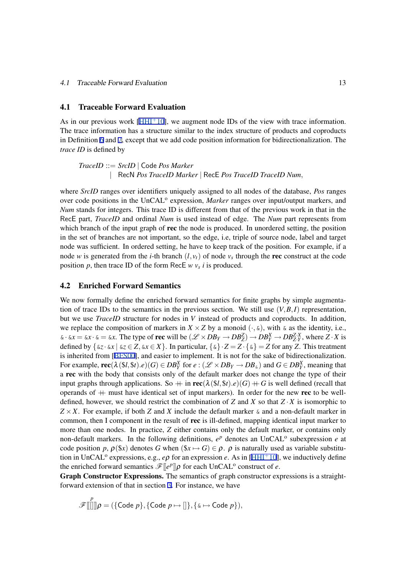#### 4.1 Traceable Forward Evaluation

As in our previous work  $[HHI^+10]$ , we augment node IDs of the view with trace information. The trace information has a structure similar to the index structure of products and coproducts in Definition 6 and 7, except that we add code position information for bidirectionalization. The *trace ID* is defined by

\n
$$
\text{TraceID} ::= \text{SrcID} \mid \text{Code Pos Market}
$$
\n

\n\n $\mid \text{RecN Pos TraceID Market} \mid \text{RecE Pos TraceID TraceID Number} \mid \text{RecN Proba TraceID Nature} \mid \text{RecN Proba TraceID Nature} \mid \text{RecN Proba TraceID Name}$ \n

where *SrcID* ranges over identifiers uniquely assigned to all nodes of the database, *Pos* ranges over code positions in the UnCAL<sup>o</sup> expression, *Marker* ranges over input/output markers, and *Num* stands for integers. This trace ID is different from that of the previous work in that in the RecE part, *TraceID* and ordinal *Num* is used instead of edge. The *Num* part represents from which branch of the input graph of rec the node is produced. In unordered setting, the position in the set of branches are not important, so the edge, i.e, triple of source node, label and target node was sufficient. In ordered setting, he have to keep track of the position. For example, if a node *w* is generated from the *i*-th branch  $(l, v_t)$  of node  $v_s$  through the rec construct at the code position *p*, then trace ID of the form RecE *w v<sup>s</sup> i* is produced.

## 4.2 Enriched Forward Semantics

We now formally define the enriched forward semantics for finite graphs by simple augmentation of trace IDs to the semantics in the previous section. We still use  $(V, B, I)$  representation, but we use *TraceID* structure for nodes in *V* instead of products and coproducts. In addition, we replace the composition of markers in  $X \times Z$  by a monoid  $(\cdot, \&)$ , with  $\&$  as the identity, i.e.,  $\& \cdot \& x = \& x \cdot \& = \& x$ . The type of **rec** will be  $(\mathcal{L} \times DB_Y \to DB_Z^Z) \to DB_X^X \to DB_{Z,Y}^X$ , where  $Z \cdot X$  is defined by  $\{ \&z \cdot \&x \mid \&z \in Z, \&x \in X \}$ . In particular,  $\{ \&\} \cdot Z = Z \cdot \{ \&\} = Z$  for any Z. This treatment is inherited from [BFS00], and easier to implement. It is not for the sake of bidirectionalization. For example,  $\textbf{rec}(\lambda(\$l, \$t).e)(G) \in DB_Y^X$  for  $e: (\mathscr{L} \times DB_Y \to DB_\$)$  and  $G \in DB_Y^X$ , meaning that a rec with the body that consists only of the default marker does not change the type of their input graphs through applications. So  $+$  in  $\text{rec}(\lambda(\$l, \$t).e)(G) + G$  is well defined (recall that operands of  $+$  [must hav](#page-23-0)e identical set of input markers). In order for the new rec to be welldefined, however, we should restrict the combination of *Z* and *X* so that  $Z \cdot X$  is isomorphic to  $Z \times X$ . For example, if both *Z* and *X* include the default marker  $\&$  and a non-default marker in common, then I component in the result of rec is ill-defined, mapping identical input marker to more than one nodes. In practice, *Z* either contains only the default marker, or contains only non-default markers. In the following definitions,  $e^p$  denotes an UnCAL<sup>o</sup> subexpression  $e$  at code position p,  $\rho$ (\$x) denotes *G* when (\$x  $\mapsto$  *G*)  $\in$   $\rho$ .  $\rho$  is naturally used as variable substitution in UnCAL<sup>o</sup> expressions, e.g.,  $e\rho$  for an expression *e*. As in [HHI<sup>+</sup>10], we inductively define the enriched forward semantics  $\mathscr{F}[\lbrack e^p \rbrack] \rho$  for each UnCAL<sup>o</sup> construct of *e*.

Graph Constructor Expressions. The semantics of graph constructor expressions is a straightforward extension of that in section 3. For instance, we have

$$
\mathscr{F}[[\mathbb{I}]]\rho = (\{\text{Code } p\}, \{\text{Code } p \mapsto [\mathbb{I}\}, \{\mathbf{x} \mapsto \text{Code } p\}),
$$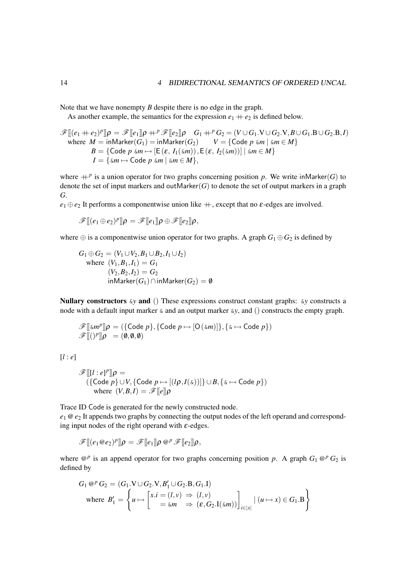Note that we have nonempty *B* despite there is no edge in the graph.

As another example, the semantics for the expression  $e_1 + e_2$  is defined below.

$$
\mathscr{F}[[ (e_1 + e_2)^p ]] \rho = \mathscr{F}[[e_1]] \rho + P \mathscr{F}[[e_2]] \rho \quad G_1 + P G_2 = (V \cup G_1.V \cup G_2.V, B \cup G_1.B \cup G_2.B, I)
$$
  
where  $M = \text{inMarket}(G_1) = \text{inMarket}(G_2) \quad V = \{\text{Code } p \text{ } \text{km} \mid \text{ } \text{km} \in M\}$   
 $B = \{\text{Code } p \text{ } \text{km} \mapsto [\text{E}(\varepsilon, I_1(\text{km})), \text{E}(\varepsilon, I_2(\text{km}))] \mid \text{ } \text{km} \in M\}$   
 $I = \{\text{km} \mapsto \text{Code } p \text{ } \text{km} \mid \text{ } \text{km} \in M\},$ 

where  $+P$  is a union operator for two graphs concerning position p. We write inMarker(G) to denote the set of input markers and outMarker $(G)$  to denote the set of output markers in a graph *G*.

 $e_1 \oplus e_2$  It performs a componentwise union like  $+$ , except that no  $\varepsilon$ -edges are involved.

$$
\mathscr{F}[\hspace{-1.5pt}[ (e_1 \oplus e_2)^p]\hspace{-1.5pt}] \rho = \mathscr{F}[\hspace{-1.5pt}[ e_1]\hspace{-1.5pt}] \rho \oplus \mathscr{F}[\hspace{-1.5pt}[ e_2]\hspace{-1.5pt}] \rho,
$$

where  $\oplus$  is a componentwise union operator for two graphs. A graph  $G_1 \oplus G_2$  is defined by

$$
G_1 \oplus G_2 = (V_1 \cup V_2, B_1 \cup B_2, I_1 \cup I_2)
$$
  
where  $(V_1, B_1, I_1) = G_1$   
 $(V_2, B_2, I_2) = G_2$   
inMarket $(G_1)$  $\cap$ inMarket $(G_2)$  = 0

Nullary constructors &*y* and () These expressions construct constant graphs: &*y* constructs a node with a default input marker & and an output marker &*y*, and () constructs the empty graph.

$$
\mathscr{F}[\![\underline{\xi}m^p]\!] \rho = (\{\text{Code } p\}, \{\text{Code } p \mapsto [\mathsf{O}(\underline{\xi}m)]\}, \{\underline{\xi} \mapsto \text{Code } p\})
$$
  

$$
\mathscr{F}[[(\underline{y}^p]\rho] = (\emptyset, \emptyset, \emptyset)
$$

[*l* : *e*]

$$
\mathscr{F}[[l:e]^{p}]\rho = (\{\text{Code } p\} \cup V, \{\text{Code } p \mapsto [(l\rho, I(\alpha))]\} \cup B, \{\alpha \mapsto \text{Code } p\})
$$
  
where  $(V, B, I) = \mathscr{F}[[e]]\rho$ 

Trace ID Code is generated for the newly constructed node. *e*<sup>1</sup> @*e*<sup>2</sup> It appends two graphs by connecting the output nodes of the left operand and corresponding input nodes of the right operand with  $\varepsilon$ -edges.

$$
\mathscr{F}[[ (e_1 \otimes e_2)^p ]] \rho = \mathscr{F}[[e_1]] \rho \otimes^p \mathscr{F}[[e_2]] \rho,
$$

where  $\mathbb{Q}^p$  is an append operator for two graphs concerning position p. A graph  $G_1 \mathbb{Q}^p G_2$  is defined by

$$
G_1 \, @^p G_2 = (G_1.V \cup G_2.V, B'_1 \cup G_2.B, G_1.I)
$$
  
where  $B'_1 = \begin{cases} u \mapsto [x.i = (l, v) \Rightarrow (l, v)] \\ u \equiv \xi m \Rightarrow (\varepsilon, G_2.I(\xi m))] \bigg|_{i \in [x]} \end{cases} \mid (u \mapsto x) \in G_1.B \}$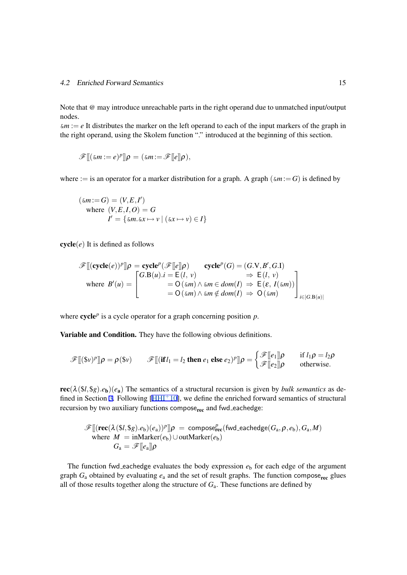## 4.2 Enriched Forward Semantics 15

Note that @ may introduce unreachable parts in the right operand due to unmatched input/output nodes.

 $\&m := e$  It distributes the marker on the left operand to each of the input markers of the graph in the right operand, using the Skolem function "." introduced at the beginning of this section.

$$
\mathscr{F}[[(\& m := e)^p]]\rho = (\& m := \mathscr{F}[[e]]\rho),
$$

where := is an operator for a marker distribution for a graph. A graph ( $\epsilon m := G$ ) is defined by

$$
(\& m := G) = (V, E, I')
$$
  
where  $(V, E, I, O) = G$   

$$
I' = \{\& m \cdot \& x \mapsto v \mid (\& x \mapsto v) \in I\}
$$

 $cycle(e)$  It is defined as follows

$$
\mathscr{F}[[\text{cycle}(e))^p]\rho = \text{cycle}^p(\mathscr{F}[[e]]\rho) \qquad \text{cycle}^p(G) = (G.V, B', G.I)
$$
\n
$$
\text{where } B'(u) = \begin{bmatrix} G.B(u).i = E(l, v) & \Rightarrow E(l, v) \\ 0.50(1.00)(0.000)(0.000)(0.000)(0.000)(0.000)(0.000)(0.000)(0.000)(0.000)(0.000)(0.000)(0.000)(0.000)(0.000)(0.000)(0.000)(0.000)(0.000)(0.000)(0.000)(0.000)(0.000)(0.000)(0.000)(0.000)(0.000)(0.000)(0.000)(0.000)(0.000)(0.000)(0.000)(0.000)(0.000)(0.000)(0.000)(0.000)(0.000)(0.000)(0.000)(0.000)(0.000)(0.000)(0.000)(0.000)(0.000)(0.000)(0.000)(0.000)(0.000)(0.000)(0.000)(0.000)(0.000)(0.000)(0.000)(0.000)(0.000)(0.000)(0.000)(0.000)(0.000)(0.000)(0.000)(0.000)(0.000)(0.000)(0.000)(0.000)(0.000)(0.000)(0.000)(0.000)(0.000)(0.000)(0.000)(0.000)(0.000)(0.000)(0.000)(0.000)(0.000)(0.000)(0.000)(0.000)(0.000)(0.000)(0.000)(0.000)(0.000)(0.000)(0.000)(0.000)(0.000)(0.000)(0.000)(0.000)(0.000)(0.000)(0.000)(0.000)(0.000)(0.000)(0.000)(0.000)(0.000)(0.000)(0.00
$$

where  $cycle^p$  is a cycle operator for a graph concerning position  $p$ .

Variable and Condition. They have the following obvious definitions.

$$
\mathscr{F}[[(\mathbb{S}\nu)^p]]\rho = \rho(\mathbb{S}\nu) \qquad \mathscr{F}[[(\mathbf{if }l_1 = l_2 \mathbf{ then } e_1 \mathbf{ else } e_2)^p]]\rho = \begin{cases} \mathscr{F}[[e_1]]\rho & \text{if } l_1\rho = l_2\rho \\ \mathscr{F}[[e_2]]\rho & \text{otherwise.} \end{cases}
$$

 $\text{rec}(\lambda(\$i, \$g).e_{\mathbf{b}})(e_{\mathbf{a}})$  The semantics of a structural recursion is given by *bulk semantics* as defined in Section 3. Following  $[HHI<sup>+</sup>10]$ , we define the enriched forward semantics of structural recursion by two auxiliary functions compose<sub>rec</sub> and fwd\_eachedge:

$$
\mathscr{F}[[(\mathbf{rec}(\lambda(\$l,\$g).e_b)(e_a))^p]\rho = \mathsf{composite}^p_{\mathbf{rec}}(\mathsf{fwd}\_\mathbf{eachedge}(G_a,\rho,e_b),G_a,M)
$$
  
where 
$$
M = \mathsf{inMarket}(e_b) \cup \mathsf{outMarket}(e_b)
$$

$$
G_a = \mathscr{F}[[e_a]]\rho
$$

The function fwd eachedge evaluates the body expression  $e<sub>b</sub>$  for each edge of the argument graph  $G_a$  obtained by evaluating  $e_a$  and the set of result graphs. The function compose<sub>rec</sub> glues all of those results together along the structure of  $G_a$ . These functions are defined by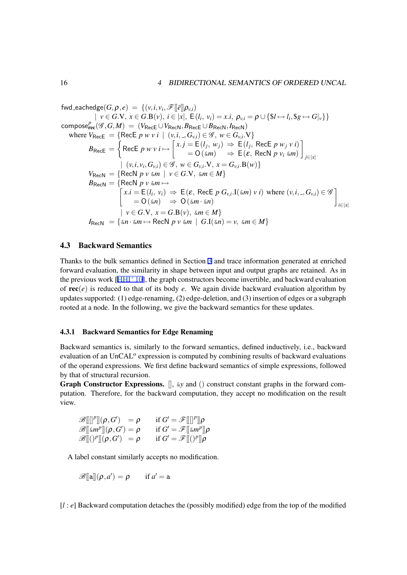$\mathsf{fwd\_eachedge}(G,\boldsymbol{\rho},e) = \{(\nu,i,\nu_i,\mathscr{F}[\![\bar{e}]\!]\boldsymbol{\rho}_{\nu,i})\}$  $| v \in G.V, x \in G.B(v), i \in |x|, E(l_i, v_i) = x.i, \rho_{v,i} = \rho \cup \{ $l \mapsto l_i, $g \mapsto G|_v \} \}$  $\mathsf{compose}^P_\mathsf{rec}(\mathscr{G}, G, M) \ = \ (V_\mathsf{Rec} \cup V_\mathsf{RecN}, B_\mathsf{Rec} \cup B_\mathsf{RecN}, I_\mathsf{RecN})$ where  $V_{\text{RecE}} = \{ \text{RecE } p \le i \mid (v, i, \_, G_{v,i}) \in \mathscr{G}, w \in G_{v,i}.V \}$  $B_{\mathsf{RecE}} =$  $\bigg)$  $\mathsf{RecE}\, p \, w \, v \, i \mapsto$  $\big[ x, j = E(l_j, w_j) \Rightarrow E(l_j, \text{RecE } p w_j v i \big]$  $=$  O( $\omega$ *m*)  $\Rightarrow$  E( $\varepsilon$ , RecN *p*  $v_i$   $\omega$ *m*) ] *j∈|x|*  $\vert (v, i, v_i, G_{v,i}) \in \mathscr{G}, w \in G_{v,i}.V, x = G_{v,i}.B(w) \}$  $V_{\text{RecN}} = \{ \text{RecN } p \vee \omega n \mid v \in G.V, \omega n \in M \}$  $B_\mathsf{RecN} = \{$  $\Gamma$  $RecN p v \& m \mapsto$  $x.i = E(l_i, v_i) \Rightarrow E(\varepsilon, \text{RecE } p \ G_{v,i}.\mathbf{I}(\varepsilon m) \ v \ i)$  where  $(v, i, \_, G_{v,i}) \in \mathscr{G}$  $= O(\omega n) \Rightarrow O(\omega n \cdot \omega n)$ ] *i∈|x| | v ∈ G.*V*, x* = *G.*B(*v*)*,* &*m ∈ M}*  $I_{\text{RecN}} = \{\&n \cdot \&m \mapsto \text{RecN} \ p \ v \ \&m \ \vert \ \ G.\text{I}(\&n) = v, \ \&m \in M \}$ 

## 4.3 Backward Semantics

Thanks to the bulk semantics defined in Section 3 and trace information generated at enriched forward evaluation, the similarity in shape between input and output graphs are retained. As in the previous work  $[HHI^+10]$ , the graph constructors become invertible, and backward evaluation of rec(*e*) is reduced to that of its body *e*. We again divide backward evaluation algorithm by updates supported: (1) edge-renaming, (2) edge-d[el](#page-6-0)etion, and (3) insertion of edges or a subgraph rooted at a node. I[n the follo](#page-23-0)wing, we give the backward semantics for these updates.

## 4.3.1 Backward Semantics for Edge Renaming

Backward semantics is, similarly to the forward semantics, defined inductively, i.e., backward evaluation of an UnCAL<sup>o</sup> expression is computed by combining results of backward evaluations of the operand expressions. We first define backward semantics of simple expressions, followed by that of structural recursion.

Graph Constructor Expressions. [], &*y* and () construct constant graphs in the forward computation. Therefore, for the backward computation, they accept no modification on the result view.

| $\mathscr{B}[[[P]](\rho, G')] = \rho$          | if $G' = \mathscr{F}[[ P ]\rho$                |
|------------------------------------------------|------------------------------------------------|
| $\mathscr{B}[\![\mathscr{S}]\!](\rho,G')=\rho$ | if $G' = \mathscr{F}[\![\mathrm{m}^p]\!] \rho$ |
| $\mathscr{B}[(\rho^p](\rho, G') = \rho$        | if $G' = \mathscr{F}[[()^p]]\rho$              |

A label constant similarly accepts no modification.

$$
\mathscr{B}[[a]](\rho, a') = \rho \quad \text{if } a' = a
$$

[*l* : *e*] Backward computation detaches the (possibly modified) edge from the top of the modified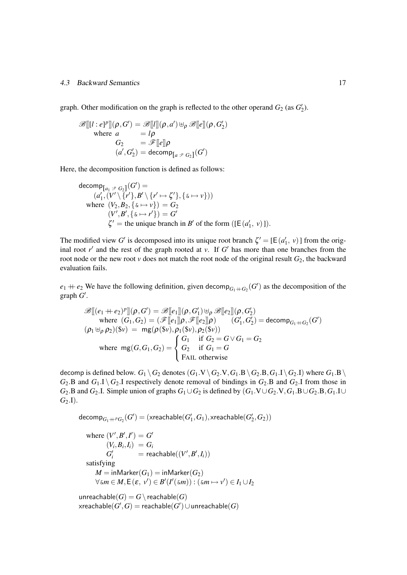#### 4.3 Backward Semantics 17

graph. Other modification on the graph is reflected to the other operand  $G_2$  (as  $G_2'$ ).

$$
\mathscr{B}[[l:e]^{p}]](\rho, G') = \mathscr{B}[[l]](\rho, a') \uplus_{\rho} \mathscr{B}[[e]](\rho, G'_{2})
$$
  
where  $a = l\rho$   
 $G_{2} = \mathscr{F}[[e]]\rho$   
 $(a', G'_{2}) = \text{decomp}_{[a : P G_{2}]}(G')$ 

Here, the decomposition function is defined as follows:

decomp<sub>[a<sub>1</sub> : 
$$
{}^p G_2
$$
]}(G') =  
\n( $a'_1$ , ( $V' \setminus \{r'\}, B' \setminus \{r' \mapsto \zeta'\}, \{\&\mapsto v\})$ )  
\nwhere ( $V_2, B_2, \{\&\mapsto v\}$ ) =  $G_2$   
\n( $V', B', \{\&\mapsto r'\}$ ) = G'  
\n $\zeta'$  = the unique branch in  $B'$  of the form ([E( $a'_1, v$ )]).</sub>

The modified view *G*<sup> $\prime$ </sup> is decomposed into its unique root branch  $\zeta$ <sup> $\prime$ </sup> = [E( $a'_1$ ,  $\nu$ )] from the original root  $r'$  and the rest of the graph rooted at  $v$ . If  $G'$  has more than one branches from the root node or the new root  $\nu$  does not match the root node of the original result  $G_2$ , the backward evaluation fails.

 $e_1 + e_2$  We have the following definition, given decomp<sub> $G_1 + G_2$ </sub> (*G*<sup> $\prime$ </sup>) as the decomposition of the  $graph G'.$ 

$$
\mathscr{B}[[ (e_1 + e_2)^p]](\rho, G') = \mathscr{B}[[e_1]](\rho, G'_1) \uplus_{\rho} \mathscr{B}[[e_2]](\rho, G'_2)
$$
  
where  $(G_1, G_2) = (\mathscr{F}[[e_1]]\rho, \mathscr{F}[[e_2]]\rho)$   $(G'_1, G'_2) = \text{decomp}_{G_1+G_2}(G')$   
 $(\rho_1 \uplus_{\rho} \rho_2)(\mathscr{F}v) = \text{mg}(\rho(\mathscr{F}v), \rho_1(\mathscr{F}v), \rho_2(\mathscr{F}v))$   
where  $\text{mg}(G, G_1, G_2) = \begin{cases} G_1 & \text{if } G_2 = G \vee G_1 = G_2 \\ G_2 & \text{if } G_1 = G \\ \text{FAIL otherwise} \end{cases}$ 

decomp is defined below.  $G_1 \setminus G_2$  denotes  $(G_1 \cdot V \setminus G_2 \cdot V, G_1 \cdot B \setminus G_2 \cdot B, G_1 \cdot I \setminus G_2 \cdot I)$  where  $G_1 \cdot B \setminus G_2$  $G_2$ .B and  $G_1$ .I  $\setminus G_2$ .I respectively denote removal of bindings in  $G_2$ .B and  $G_2$ .I from those in  $G_2$ .B and  $G_2$ .I. Simple union of graphs  $G_1 \cup G_2$  is defined by  $(G_1 \cup G_2 \cup G_2 \cup G_1 \cup G_2 \cup G_2 \cup G_1 \cup G_2 \cup G_2 \cup G_1 \cup G_2 \cup G_2 \cup G_1 \cup G_2 \cup G_1 \cup G_2 \cup G_1 \cup G_2 \cup G_1 \cup G_2 \cup G_1 \cup G_2 \cup G_1 \cup G_1 \cup G_2 \cup G_1 \cup G_1 \cup G_1 \cup G_1 \cup G_1 \cup G$ *G*2*.*I).

$$
\mathsf{decomp}_{G_1 \mathbin{+} P G_2}(G') = (\mathsf{xreachable}(G'_1, G_1), \mathsf{xreachable}(G'_2, G_2))
$$

where 
$$
(V', B', I') = G'
$$
  
\n $(V_i, B_i, I_i) = G_i$   
\n $G'_i$  = reachable $((V', B', I_i))$   
\nsatisfying  
\n $M = \text{inMarket}(G_1) = \text{inMarket}(G_2)$   
\n $\forall \& \ m \in M, E(\varepsilon, v') \in B'(I'(\> m)) : (\> m \mapsto v') \in I_1 \cup I_2$ 

unreachable $(G) = G \setminus \text{reachable}(G)$  $\mathsf{x}$ reachable $(G',G)=\mathsf{reachable}(G')\cup\mathsf{unreachable}(G)$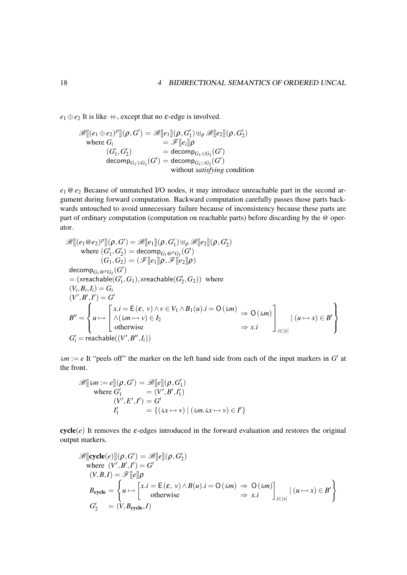$e_1 \oplus e_2$  It is like  $+$ , except that no  $\varepsilon$ -edge is involved.

$$
\mathscr{B}[[ (e_1 \oplus e_2)^p ]](\rho, G') = \mathscr{B}[[e_1]](\rho, G'_1) \uplus_{\rho} \mathscr{B}[[e_2]](\rho, G'_2)
$$
  
where  $G_i$   

$$
= \mathscr{F}[[e_i]]\rho
$$
  

$$
(G'_1, G'_2)
$$
  

$$
= \operatorname{decomp}_{G_1 \oplus G_2}(G')
$$
  

$$
= \operatorname{decomp}_{G_1 \cup G_2}(G')
$$
  
without *satisfying* condition

*e*<sup>1</sup> @*e*<sup>2</sup> Because of unmatched I/O nodes, it may introduce unreachable part in the second argument during forward computation. Backward computation carefully passes those parts backwards untouched to avoid unnecessary failure because of inconsistency because these parts are part of ordinary computation (computation on reachable parts) before discarding by the @ operator.

$$
\mathscr{B}[[ (e_1 \otimes e_2)^p]](p, G') = \mathscr{B}[[e_1]](p, G'_1) \uplus_{\rho} \mathscr{B}[[e_2]](p, G'_2)
$$
\nwhere  $(G'_1, G'_2) = \text{decomp}_{G_1 \otimes^p G_2}(G')$   
\n $(G_1, G_2) = (\mathscr{F}[[e_1]] \rho, \mathscr{F}[[e_2]] \rho)$   
\n $\text{decomp}_{G_1 \otimes^p G_2}(G')$   
\n $= (\text{xreachable}(G'_1, G_1), \text{xreachable}(G'_2, G_2)) \text{ where }$   
\n $(V_i, B_i, I_i) = G_i$   
\n $(V', B', I') = G'$   
\n $B'' = \begin{cases} x.i = E(\varepsilon, v) \land v \in V_1 \land B_1(u).i = O(\varepsilon m) \\ \land (\varepsilon m \mapsto v) \in I_2 \\ \text{otherwise} \end{cases} \Rightarrow O(\varepsilon m)$   
\n $\Rightarrow X.i \qquad \bigg\} | (u \mapsto x) \in B' \begin{cases} \n1 \land (\varepsilon m \mapsto v) \in I_2 \\ \n2 \land \varepsilon m \in \mathbb{R} \land \varepsilon m \end{cases}$ 

 $\&m := e$  It "peels off" the marker on the left hand side from each of the input markers in G' at the front.

$$
\mathscr{B}[[\underline{\delta}m := e]](\rho, G') = \mathscr{B}[[e]](\rho, G_1')
$$
  
where  $G_1' = (V', B', I_1')$   

$$
(V', E', I') = G'
$$
  

$$
I_1' = \{(\underline{\delta}x \mapsto v) | (\underline{\delta}m, \underline{\delta}x \mapsto v) \in I'\}
$$

 $cycle(e)$  It removes the  $\varepsilon$ -edges introduced in the forward evaluation and restores the original output markers.

$$
\mathscr{B}[[\text{cycle}(e)]](\rho, G') = \mathscr{B}[[e]](\rho, G_2')
$$
  
where  $(V', B', I') = G'$   
 $(V, B, I) = \mathscr{F}[[e]]\rho$   

$$
B_{\text{cycle}} = \begin{cases} u \mapsto \begin{bmatrix} x.i = E(\varepsilon, v) \land B(u).i = O(\varepsilon m) \Rightarrow O(\varepsilon m) \\ 0 & \text{otherwise} \end{bmatrix} \Rightarrow x.i \\ G_2' = (V, B_{\text{cycle}}, I) \end{cases} (u \mapsto x) \in B'
$$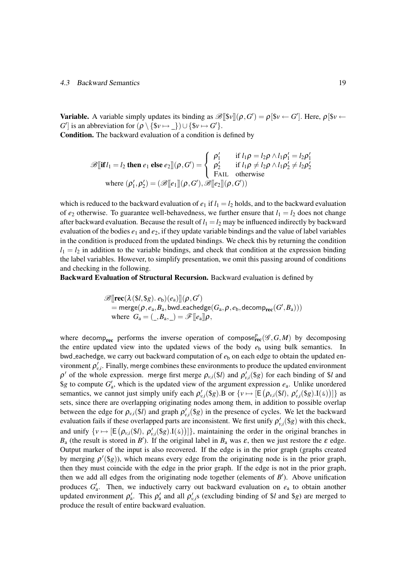#### 4.3 Backward Semantics 19

**Variable.** A variable simply updates its binding as  $\mathscr{B}[[Sv]](\rho, G') = \rho[Sv \leftarrow G']$ . Here,  $\rho[Sv \leftarrow G]$ *G*<sup> $\prime$ </sup>] is an abbreviation for  $(\rho \setminus {\$v \mapsto \_}) \cup {\$v \mapsto G' \}.$ 

Condition. The backward evaluation of a condition is defined by

$$
\mathscr{B}[\textbf{if }l_1 = l_2 \textbf{ then } e_1 \textbf{ else } e_2] | (\rho, G') = \begin{cases} \rho'_1 & \text{if } l_1 \rho = l_2 \rho \land l_1 \rho'_1 = l_2 \rho'_1 \\ \rho'_2 & \text{if } l_1 \rho \neq l_2 \rho \land l_1 \rho'_2 \neq l_2 \rho'_2 \\ \textbf{FAIL} & \text{otherwise} \end{cases}
$$
  
where  $(\rho'_1, \rho'_2) = (\mathscr{B}[[e_1]](\rho, G'), \mathscr{B}[[e_2]](\rho, G'))$ 

which is reduced to the backward evaluation of  $e_1$  if  $l_1 = l_2$  holds, and to the backward evaluation of  $e_2$  otherwise. To guarantee well-behavedness, we further ensure that  $l_1 = l_2$  does not change after backward evaluation. Because the result of  $l_1 = l_2$  may be influenced indirectly by backward evaluation of the bodies  $e_1$  and  $e_2$ , if they update variable bindings and the value of label variables in the condition is produced from the updated bindings. We check this by returning the condition  $l_1 = l_2$  in addition to the variable bindings, and check that condition at the expression binding the label variables. However, to simplify presentation, we omit this passing around of conditions and checking in the following.

Backward Evaluation of Structural Recursion. Backward evaluation is defined by

$$
\begin{array}{l} \mathscr{B} [\![\mathbf{rec}(\lambda(\$l, \$g), e_b)(e_a)]\!](\rho, G') \\ \hphantom{\mathbb{P}_{\mathsf{max}}[f(\mathcal{B}, g, g_a, e_b)]} = \mathsf{merge}(\rho, e_a, B_a, \mathsf{bwd}\text{-} \mathsf{eachedge}(G_a, \rho, e_b, \mathsf{decomp}_{\mathbf{rec}}(G', B_a))) \\ \text{where}\;\; G_a = (\_,B_{a},\_) = \mathscr{F} [\![e_a]\!] \rho, \end{array}
$$

where decomp<sub>rec</sub> performs the inverse operation of compose<sub>rec</sub>( $\mathscr{G}, G, M$ ) by decomposing the entire updated view into the updated views of the body  $e<sub>b</sub>$  using bulk semantics. In bwd eachedge, we carry out backward computation of  $e<sub>b</sub>$  on each edge to obtain the updated environment  $\rho'_{v,i}$ . Finally, merge combines these environments to produce the updated environment  $\rho'$  of the whole expression. merge first merge  $\rho_{v,i}(\$l)$  and  $\rho'_{v,i}(\$g)$  for each binding of  $\$l$  and  $\$ g to compute  $G'_{a}$ , which is the updated view of the argument expression  $e_{a}$ . Unlike unordered semantics, we cannot just simply unify each  $\rho'_{v,i}(\$g)$ . B or  $\{v \mapsto [\mathsf{E}(\rho_{v,i}(\$l), \rho'_{v,i}(\$g) \cdot \mathbf{I}(\$\epsilon))]\}$  as sets, since there are overlapping originating nodes among them, in addition to possible overlap between the edge for  $\rho_{v,i}(\$l)$  and graph  $\rho'_{v,i}(\$g)$  in the presence of cycles. We let the backward evaluation fails if these overlapped parts are inconsistent. We first unify  $\rho'_{v,i}(\$g)$  with this check, and unify  $\{v \mapsto [E(\rho_{v,i}(\$l), \rho'_{v,i}(*\$g), I(\&))]\}$ , maintaining the order in the original branches in  $B_a$  (the result is stored in *B*<sup> $\prime$ </sup>). If the original label in  $B_a$  was  $\varepsilon$ , then we just restore the  $\varepsilon$  edge. Output marker of the input is also recovered. If the edge is in the prior graph (graphs created by merging  $\rho'(\$g)$ ), which means every edge from the originating node is in the prior graph, then they must coincide with the edge in the prior graph. If the edge is not in the prior graph, then we add all edges from the originating node together (elements of  $B'$ ). Above unification produces  $G'_{a}$ . Then, we inductively carry out backward evaluation on  $e_{a}$  to obtain another updated environment  $\rho'_a$ . This  $\rho'_a$  and all  $\rho'_{v,i}$ s (excluding binding of \$*l* and \$*g*) are merged to produce the result of entire backward evaluation.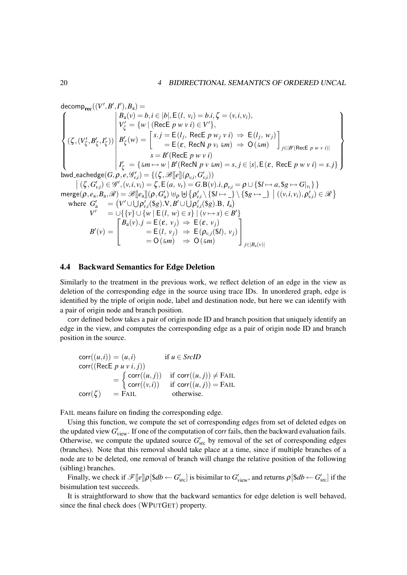$\mathsf{decomp}_{\mathbf{rec}}((V',B',I'),B_{\mathbf{a}}) =$ *0 0 0*  $\sqrt{ }$  $\begin{matrix} \end{matrix}$  $\overline{\mathcal{L}}$  $(\zeta, (V'_{\zeta}, B'_{\zeta}, I'_{\zeta}))$   $B_a(v) = b, i \in |b|, E(l, v_i) = b.i, \zeta = (v, i, v_i),$  $V'_{\zeta} = \{ w \mid (\text{RecE } p \le i) \in V' \},$  $B'_{\zeta}(w) = \begin{cases} s.j = E(l_j, \text{RecE } p w_j v i) \Rightarrow E(l_j, w_j) \\ = F(\varepsilon \text{ RecN } n v_j \varepsilon m) \Rightarrow O(\varepsilon m) \end{cases}$  $=$  **E**( $\varepsilon$ , RecN  $p$   $v_i$   $\leq m$ )  $\Rightarrow$  0( $\leq m$ ) ] *j∈|B0*(RecE *p w v i*)*|*  $s = B'(\text{RecE } p \le i)$  $I'_{\zeta} = {\text{sum} \mapsto w \mid B'(\text{RecN } p \text{ } v \text{ } \text{ } \text{ } m)} = s, j \in |s|, E(\varepsilon, \text{ RecE } p \text{ } w \text{ } v \text{ } i) = s. j \}$  $\mathbf{A}$  $\overline{\mathcal{L}}$  $\left\{\right\}$  $\textsf{bwd\_eachedge}(G,\rho,e,\mathscr{G}'_{v,i}) = \{(\zeta,\mathscr{B}[\![e]\!](\rho_{v,i},G'_{v,i}))\}$  $|( \zeta, G'_{v,i}) \in \mathscr{G}', (v,i,v_i) = \zeta, E(a, v_t) = G.B(v).i, \rho_{v,i} = \rho \cup \{ \$l \mapsto a, \$g \mapsto G|_{v_i} \}$  $\text{merge}(\rho, e_{\text{a}}, B_{\text{a}}, \mathscr{R}) = \mathscr{B}[\![e_{\text{a}}]\!](\rho, G'_{\text{a}}) \uplus_{\rho} \uplus \big\{\rho'_{v,i} \setminus \{\$\!| \rightarrow \_\!\!\! \setminus \{\$\!| \rightarrow \_\!\!\! \setminus \set{\$\!| \rightarrow \_\!\!\! \setminus \set{\$ \}}(\allowbreak (v, i, v_i), \allowbreak \rho'_{v,i}) \in \mathscr{R} \big\}$ where  $G'_{a}$  =  $(V' \cup \bigcup \rho'_{v,i}(\$g).V, B' \cup \bigcup \rho'_{v,i}(\$g).B, I_{a})$ *V*  $V'$   $= ∪$ {{*v*} *∪* {*w* | **E**(*l*, *w*)  $\in$  *s*} | (*v*  $\mapsto$  *s*)  $\in$  *B*<sup> $\prime$ </sup>}  $B'(v) =$  $\sqrt{ }$  $\overline{1}$  $B_a(v) \cdot j = E(\varepsilon, v_j) \Rightarrow E(\varepsilon, v_j)$  $=$  E(*l,*  $v_j$ )  $\Rightarrow$  E( $\rho_{v,j}$ (\$*l*)*,*  $v_j$ )  $= O(\omega m) \Rightarrow O(\omega m)$ 1  $\overline{1}$ *j∈|B*a(*v*)*|*

## 4.4 Backward Semantics for Edge Deletion

Similarly to the treatment in the previous work, we reflect deletion of an edge in the view as deletion of the corresponding edge in the source using trace IDs. In unordered graph, edge is identified by the triple of origin node, label and destination node, but here we can identify with a pair of origin node and branch position.

corr defined below takes a pair of origin node ID and branch position that uniquely identify an edge in the view, and computes the corresponding edge as a pair of origin node ID and branch position in the source.

$$
corr((u,i)) = (u,i) \quad \text{if } u \in SrcID
$$
  
\n
$$
corr((\text{RecE } p \ u \ v \ i, j))
$$
  
\n
$$
= \begin{cases} corr((u,j)) & \text{if } corr((u,j)) \neq \text{FAIL} \\ corr((v,i)) & \text{if } corr((u,j)) = \text{FAIL} \\ \text{corr}(\zeta) & = \text{FAIL} \end{cases}
$$

FAIL means failure on finding the corresponding edge.

Using this function, we compute the set of corresponding edges from set of deleted edges on the updated view  $G'_{\text{view}}$ . If one of the computation of corr fails, then the backward evaluation fails. Otherwise, we compute the updated source  $G'_{\text{src}}$  by removal of the set of corresponding edges (branches). Note that this removal should take place at a time, since if multiple branches of a node are to be deleted, one removal of branch will change the relative position of the following (sibling) branches.

Finally, we check if  $\mathscr{F}[[e]]\rho[\$db \leftarrow G'_{\rm src}]$  is bisimilar to  $G'_{\rm view}$ , and returns  $\rho[\$db \leftarrow G'_{\rm src}]$  if the bisimulation test succeeds.

It is straightforward to show that the backward semantics for edge deletion is well behaved, since the final check does (WPUTGET) property.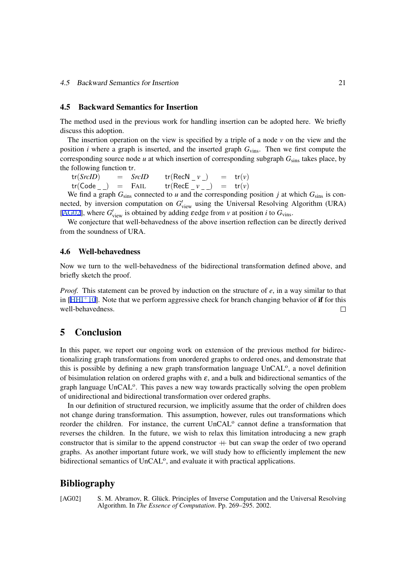#### 4.5 Backward Semantics for Insertion

The method used in the previous work for handling insertion can be adopted here. We briefly discuss this adoption.

The insertion operation on the view is specified by a triple of a node *v* on the view and the position *i* where a graph is inserted, and the inserted graph *G*vins. Then we first compute the corresponding source node  $u$  at which insertion of corresponding subgraph  $G_{\text{sins}}$  takes place, by the following function tr.

 $tr(SrcID)$  =  $SrcID$   $tr(RecN_v)$  =  $tr(v)$  $tr(Code_+)$  = FAIL  $tr(RecE_v)$  =  $tr(v)$ 

We find a graph  $G_{\text{sing}}$  connected to *u* and the corresponding position *j* at which  $G_{\text{sing}}$  is connected, by inversion computation on  $G'_{\text{view}}$  using the Universal Resolving Algorithm (URA) [AG02], where  $G'_{\text{view}}$  is obtained by adding  $\epsilon$ edge from  $\nu$  at position  $i$  to  $G_{\text{vins}}$ .

We conjecture that well-behavedness of the above insertion reflection can be directly derived from the soundness of URA.

#### 4.6 Well-behavedness

Now we turn to the well-behavedness of the bidirectional transformation defined above, and briefly sketch the proof.

*Proof.* This statement can be proved by induction on the structure of *e*, in a way similar to that in  $[HHI<sup>+</sup>10]$ . Note that we perform aggressive check for branch changing behavior of **if** for this well-behavedness.  $\Box$ 

# 5 [Conc](#page-23-0)lusion

In this paper, we report our ongoing work on extension of the previous method for bidirectionalizing graph transformations from unordered graphs to ordered ones, and demonstrate that this is possible by defining a new graph transformation language UnCAL<sup>o</sup>, a novel definition of bisimulation relation on ordered graphs with  $\varepsilon$ , and a bulk and bidirectional semantics of the graph language UnCAL<sup>o</sup>. This paves a new way towards practically solving the open problem of unidirectional and bidirectional transformation over ordered graphs.

In our definition of structured recursion, we implicitly assume that the order of children does not change during transformation. This assumption, however, rules out transformations which reorder the children. For instance, the current UnCAL<sup>o</sup> cannot define a transformation that reverses the children. In the future, we wish to relax this limitation introducing a new graph constructor that is similar to the append constructor  $+$  but can swap the order of two operand graphs. As another important future work, we will study how to efficiently implement the new bidirectional semantics of UnCAL<sup>o</sup>, and evaluate it with practical applications.

# Bibliography

[AG02] S. M. Abramov, R. Glück. Principles of Inverse Computation and the Universal Resolving Algorithm. In *The Essence of Computation*. Pp. 269–295. 2002.